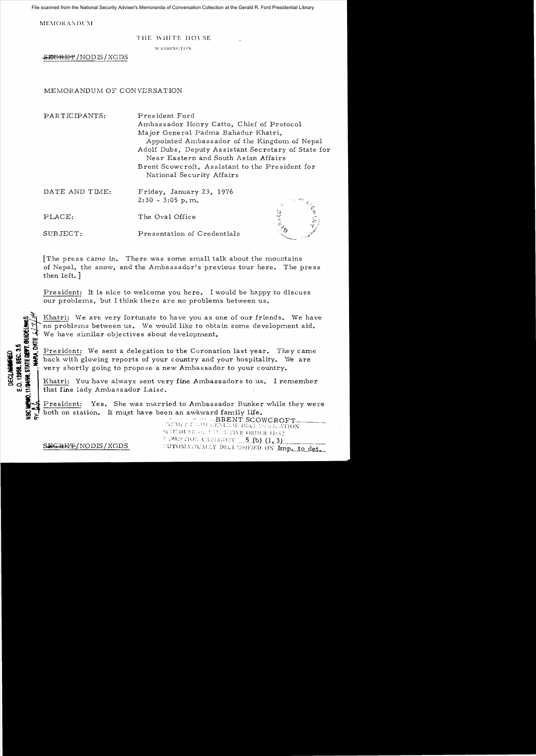File scanned from the National Security Adviser's Memoranda of Conversation Collection at the Gerald R. Ford Presidential Library

MEMORANDUM

## THE WHITE HOUSE

washixatox

 $\frac{SEE\oplus\text{RE}}{V}$ /NODIS/XGDS

## MEMORANDUM OF CONVERSATION

PARTICIPANTS: President Ford Ambassador Henry Catto, Chief of Protocol Major General Padma Bahadur Khatri, Appointed Ambassad'or of the Kingdom of Nepal Adolf Dubs, Deputy Assistant Secretary of State for Near Eastern and South Asian Affairs Brent Scowcroit, Assistant to the President for National Security Affairs

| DATE AND TIME: | Friday, January 23, 1976<br>$2:30 - 3:05$ p.m. | الرابع والرواد |  |
|----------------|------------------------------------------------|----------------|--|
| PLACE:         | The Oval Office                                | 22             |  |
| SUBJECT:       | Presentation of Credentials                    |                |  |

The press came in. There was some small talk about the mountains of Nepal, the snow, and the Ambassador's previous tour here. The press then left. ]

President: It is nice to welcome you here. I would be happy to discuss our problems, but I think there are no problems between us.

Khatri: We are very fortunate to have you as one of our friends. We have no problems between us. We would like to obtain some development aid.

 $\frac{w}{\epsilon}$  We have similar objectives about development.<br> $\frac{w}{\epsilon}$  President: We sent a delegation to the Coronat President: We sent a delegation to the Coronation last year. They came<br>back with glowing reports of your country and your hospitality. We are<br>very shortly going to propose a new Ambassador to your country.

Khatri: You have always sent very fine Ambassadors to us. I remember that fine lady Ambassador Laise.

President: Yes. She was married to Ambassador Bunker while they were  $\frac{1}{2}$  both on station. It must have been an awkward family life.<br>  $\frac{1}{2}$   $\frac{1}{2}$   $\frac{1}{2}$   $\frac{1}{2}$   $\frac{1}{2}$   $\frac{1}{2}$   $\frac{1}{2}$   $\frac{1}{2}$   $\frac{1}{2}$   $\frac{1}{2}$   $\frac{1}{2}$   $\frac{1}{2}$   $\frac{1}{2}$   $\frac{1}{2}$   $\frac{1}{2}$   $\$ 

WEMPT FROM GENERAL DECIMBER THROUGH THE WELFEL 'SCHEDULE OF THE IUTIVE ORDER 11652 ·'.~~\ll' j'l (J', L\ i':.(;: l:: Y 5\_.,0:>1- 0 :.UTOMATICALLY DECLASSIFIED ON Jmp. to det.

SEGRET/NODIS/XGDS

0.12958, SEC. 3.5

**STATE DIEPT. GUIDELING** 

**11/24/98**